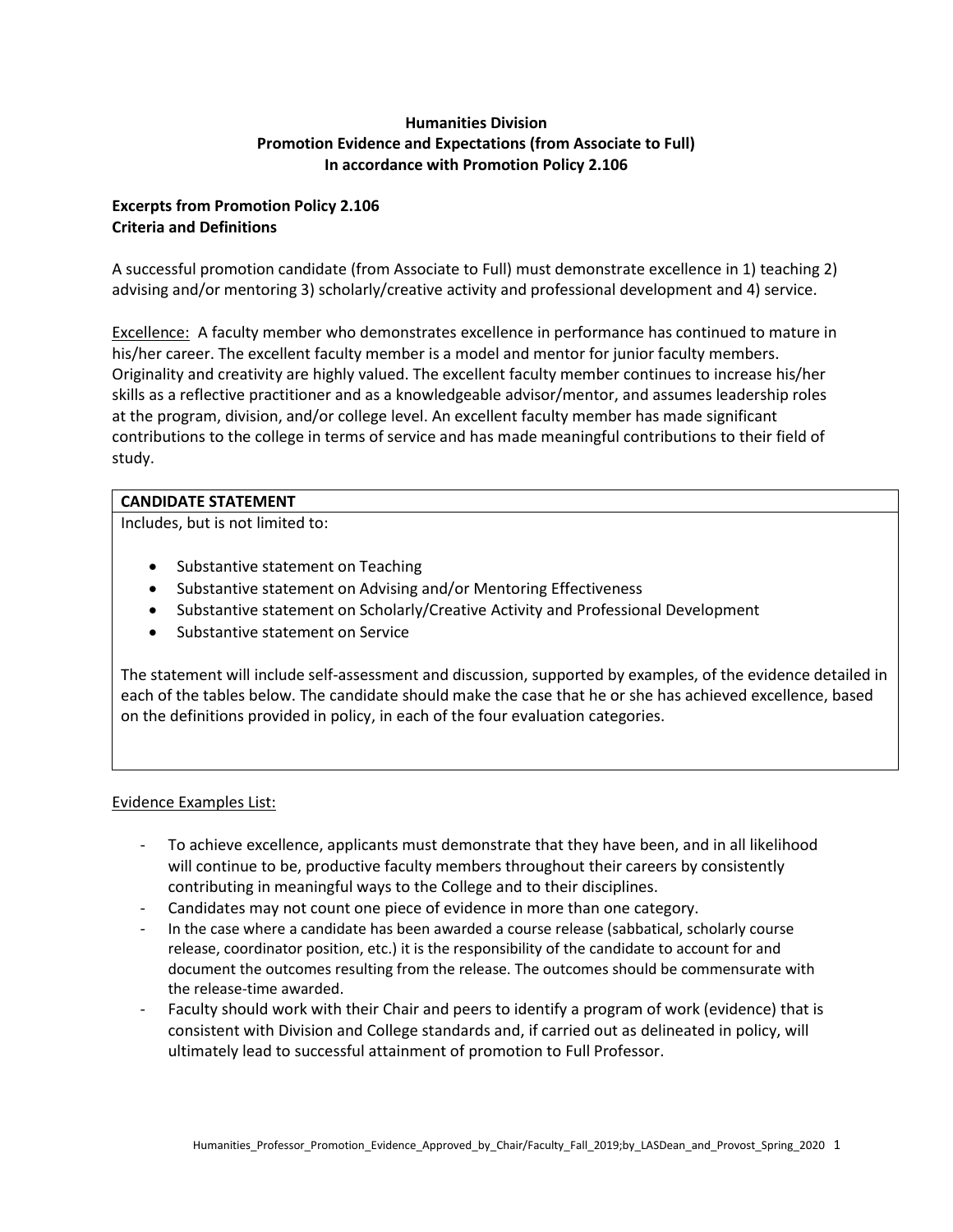# **Humanities Division Promotion Evidence and Expectations (from Associate to Full) In accordance with Promotion Policy 2.106**

# **Excerpts from Promotion Policy 2.106 Criteria and Definitions**

A successful promotion candidate (from Associate to Full) must demonstrate excellence in 1) teaching 2) advising and/or mentoring 3) scholarly/creative activity and professional development and 4) service.

Excellence: A faculty member who demonstrates excellence in performance has continued to mature in his/her career. The excellent faculty member is a model and mentor for junior faculty members. Originality and creativity are highly valued. The excellent faculty member continues to increase his/her skills as a reflective practitioner and as a knowledgeable advisor/mentor, and assumes leadership roles at the program, division, and/or college level. An excellent faculty member has made significant contributions to the college in terms of service and has made meaningful contributions to their field of study.

### **CANDIDATE STATEMENT**

Includes, but is not limited to:

- Substantive statement on Teaching
- Substantive statement on Advising and/or Mentoring Effectiveness
- Substantive statement on Scholarly/Creative Activity and Professional Development
- Substantive statement on Service

The statement will include self-assessment and discussion, supported by examples, of the evidence detailed in each of the tables below. The candidate should make the case that he or she has achieved excellence, based on the definitions provided in policy, in each of the four evaluation categories.

### Evidence Examples List:

- To achieve excellence, applicants must demonstrate that they have been, and in all likelihood will continue to be, productive faculty members throughout their careers by consistently contributing in meaningful ways to the College and to their disciplines.
- Candidates may not count one piece of evidence in more than one category.
- In the case where a candidate has been awarded a course release (sabbatical, scholarly course release, coordinator position, etc.) it is the responsibility of the candidate to account for and document the outcomes resulting from the release. The outcomes should be commensurate with the release-time awarded.
- Faculty should work with their Chair and peers to identify a program of work (evidence) that is consistent with Division and College standards and, if carried out as delineated in policy, will ultimately lead to successful attainment of promotion to Full Professor.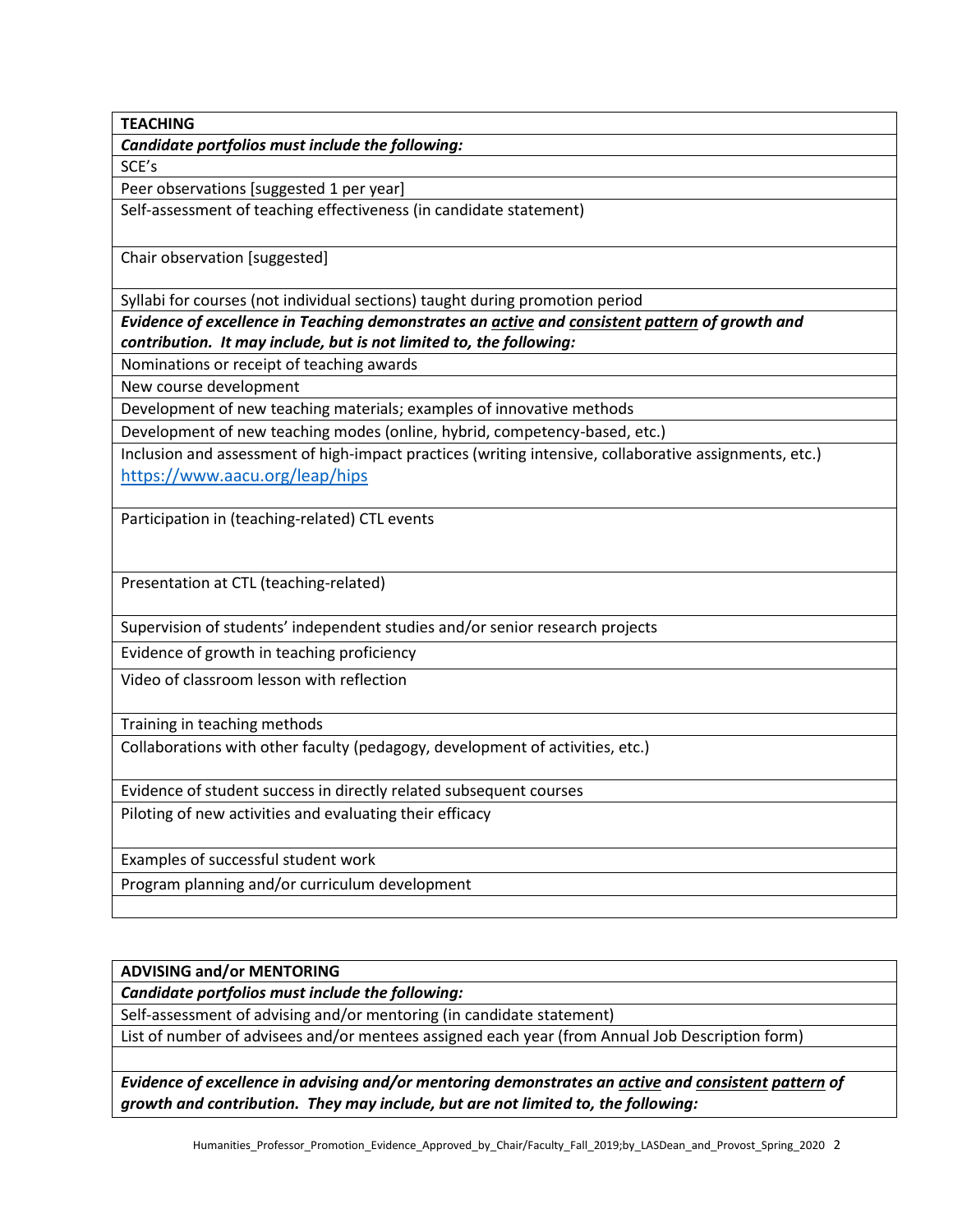**TEACHING**

*Candidate portfolios must include the following:*

SCE's

Peer observations [suggested 1 per year]

Self-assessment of teaching effectiveness (in candidate statement)

Chair observation [suggested]

Syllabi for courses (not individual sections) taught during promotion period

*Evidence of excellence in Teaching demonstrates an active and consistent pattern of growth and contribution. It may include, but is not limited to, the following:*

Nominations or receipt of teaching awards

New course development

Development of new teaching materials; examples of innovative methods

Development of new teaching modes (online, hybrid, competency-based, etc.)

Inclusion and assessment of high-impact practices (writing intensive, collaborative assignments, etc.) <https://www.aacu.org/leap/hips>

Participation in (teaching-related) CTL events

Presentation at CTL (teaching-related)

Supervision of students' independent studies and/or senior research projects

Evidence of growth in teaching proficiency

Video of classroom lesson with reflection

Training in teaching methods

Collaborations with other faculty (pedagogy, development of activities, etc.)

Evidence of student success in directly related subsequent courses

Piloting of new activities and evaluating their efficacy

Examples of successful student work

Program planning and/or curriculum development

**ADVISING and/or MENTORING**

*Candidate portfolios must include the following:*

Self-assessment of advising and/or mentoring (in candidate statement)

List of number of advisees and/or mentees assigned each year (from Annual Job Description form)

*Evidence of excellence in advising and/or mentoring demonstrates an active and consistent pattern of growth and contribution. They may include, but are not limited to, the following:*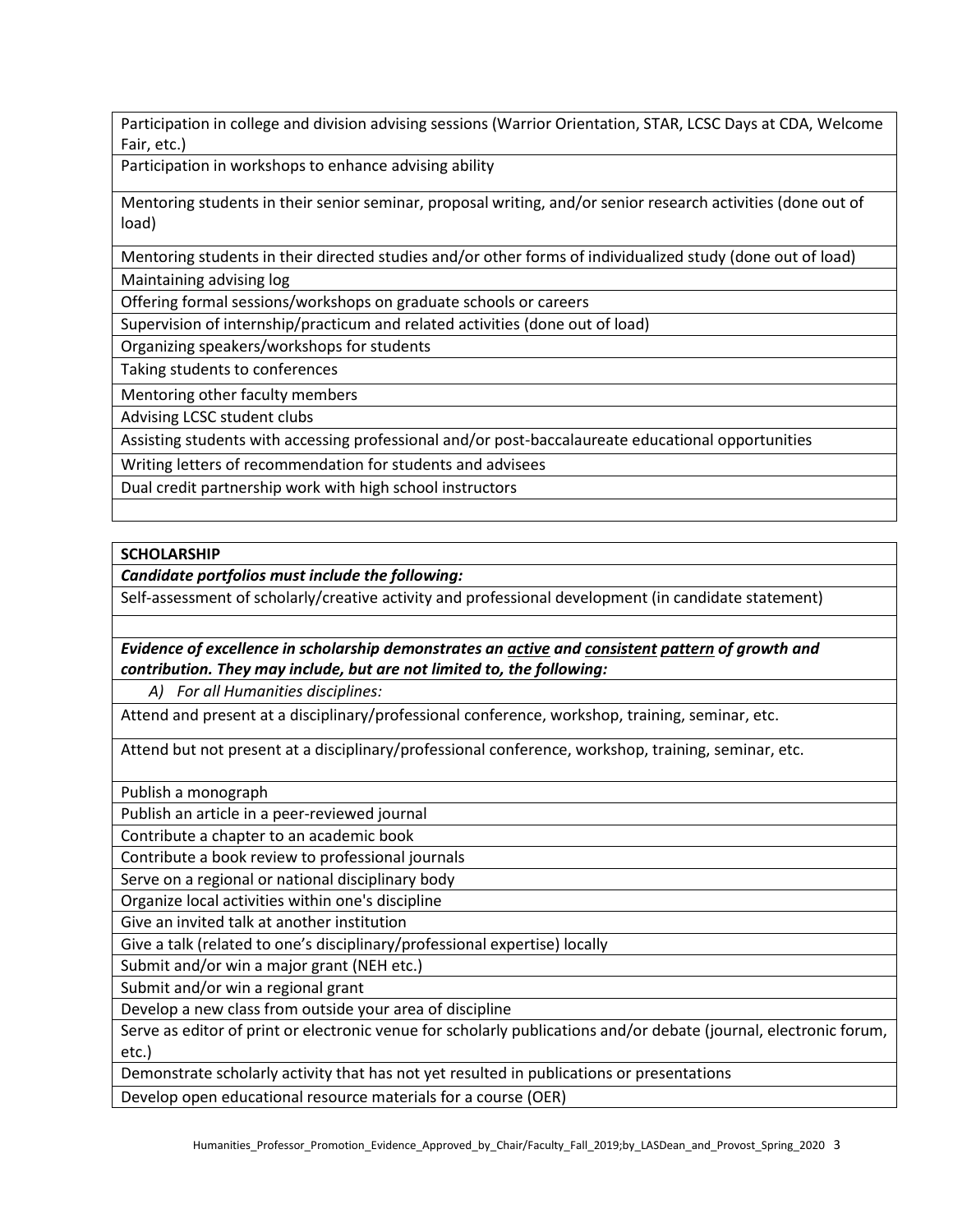Participation in college and division advising sessions (Warrior Orientation, STAR, LCSC Days at CDA, Welcome Fair, etc.)

Participation in workshops to enhance advising ability

Mentoring students in their senior seminar, proposal writing, and/or senior research activities (done out of load)

Mentoring students in their directed studies and/or other forms of individualized study (done out of load) Maintaining advising log

Offering formal sessions/workshops on graduate schools or careers

Supervision of internship/practicum and related activities (done out of load)

Organizing speakers/workshops for students

Taking students to conferences

Mentoring other faculty members

Advising LCSC student clubs

Assisting students with accessing professional and/or post-baccalaureate educational opportunities

Writing letters of recommendation for students and advisees

Dual credit partnership work with high school instructors

### **SCHOLARSHIP**

*Candidate portfolios must include the following:*

Self-assessment of scholarly/creative activity and professional development (in candidate statement)

*Evidence of excellence in scholarship demonstrates an active and consistent pattern of growth and contribution. They may include, but are not limited to, the following:*

*A) For all Humanities disciplines:*

Attend and present at a disciplinary/professional conference, workshop, training, seminar, etc.

Attend but not present at a disciplinary/professional conference, workshop, training, seminar, etc.

Publish a monograph

Publish an article in a peer-reviewed journal

Contribute a chapter to an academic book

Contribute a book review to professional journals

Serve on a regional or national disciplinary body

Organize local activities within one's discipline

Give an invited talk at another institution

Give a talk (related to one's disciplinary/professional expertise) locally

Submit and/or win a major grant (NEH etc.)

Submit and/or win a regional grant

Develop a new class from outside your area of discipline

Serve as editor of print or electronic venue for scholarly publications and/or debate (journal, electronic forum, etc.)

Demonstrate scholarly activity that has not yet resulted in publications or presentations

Develop open educational resource materials for a course (OER)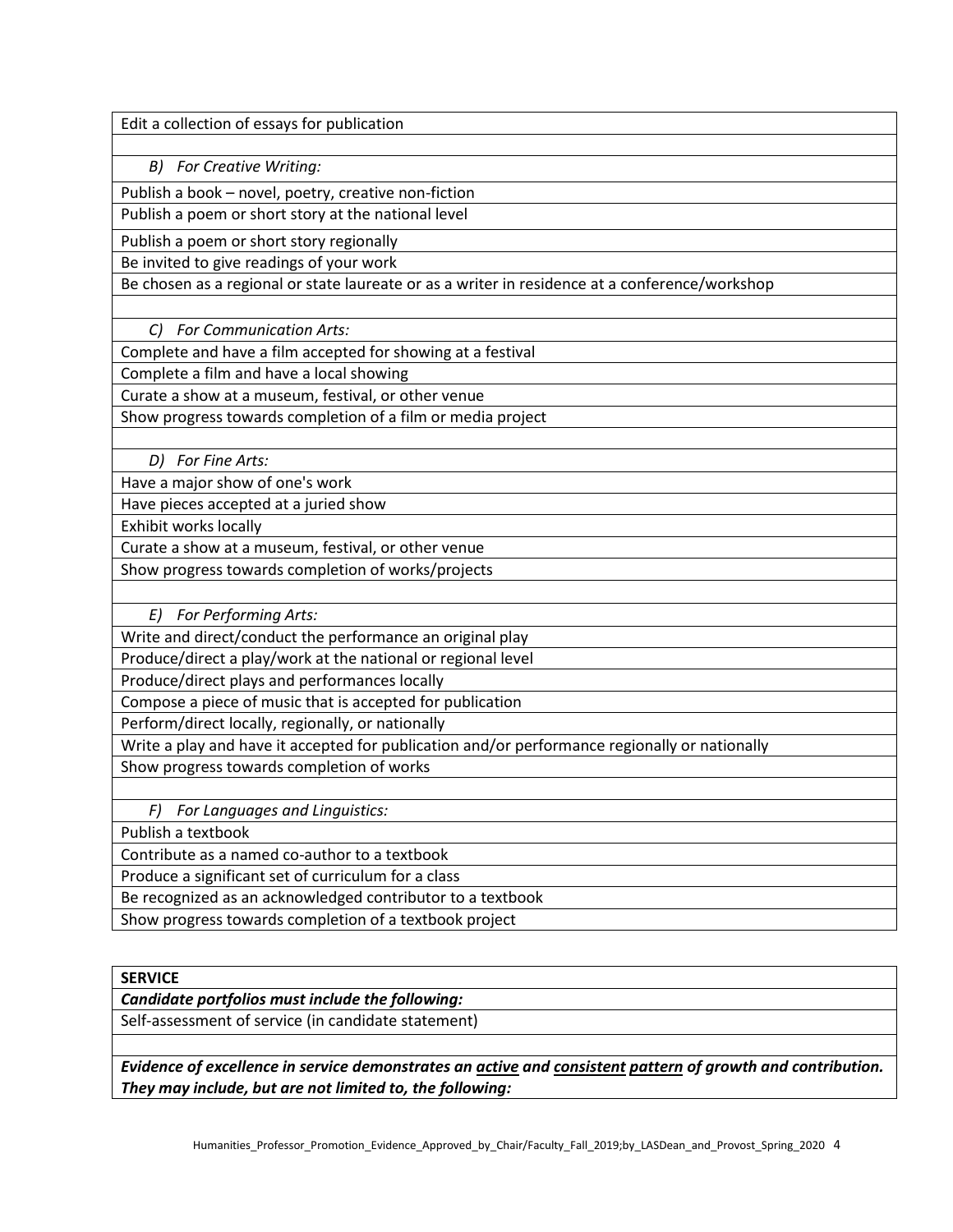Edit a collection of essays for publication

*B) For Creative Writing:*

Publish a book – novel, poetry, creative non-fiction

Publish a poem or short story at the national level

Publish a poem or short story regionally

Be invited to give readings of your work

Be chosen as a regional or state laureate or as a writer in residence at a conference/workshop

*C) For Communication Arts:*

Complete and have a film accepted for showing at a festival

Complete a film and have a local showing

Curate a show at a museum, festival, or other venue

Show progress towards completion of a film or media project

*D) For Fine Arts:*

Have a major show of one's work

Have pieces accepted at a juried show

Exhibit works locally

Curate a show at a museum, festival, or other venue

Show progress towards completion of works/projects

*E) For Performing Arts:*

Write and direct/conduct the performance an original play

Produce/direct a play/work at the national or regional level

Produce/direct plays and performances locally

Compose a piece of music that is accepted for publication

Perform/direct locally, regionally, or nationally

Write a play and have it accepted for publication and/or performance regionally or nationally

Show progress towards completion of works

*F) For Languages and Linguistics:*

Publish a textbook

Contribute as a named co-author to a textbook

Produce a significant set of curriculum for a class

Be recognized as an acknowledged contributor to a textbook

Show progress towards completion of a textbook project

### **SERVICE**

*Candidate portfolios must include the following:*

Self-assessment of service (in candidate statement)

*Evidence of excellence in service demonstrates an active and consistent pattern of growth and contribution. They may include, but are not limited to, the following:*